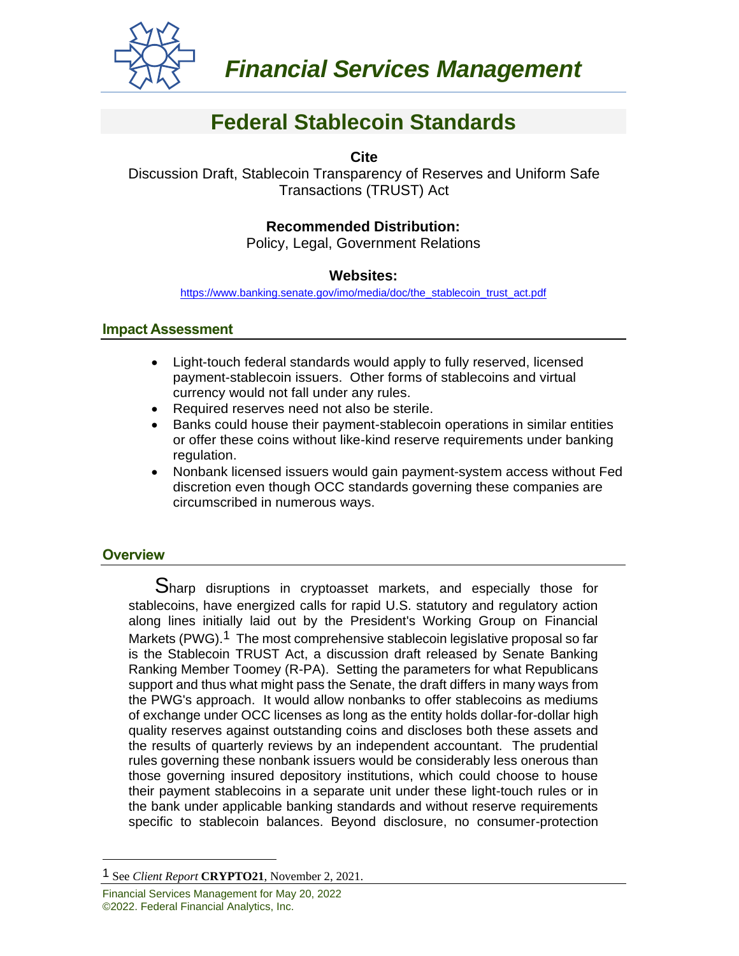

# **Federal Stablecoin Standards**

**Cite**

Discussion Draft, Stablecoin Transparency of Reserves and Uniform Safe Transactions (TRUST) Act

# **Recommended Distribution:**

Policy, Legal, Government Relations

## **Websites:**

[https://www.banking.senate.gov/imo/media/doc/the\\_stablecoin\\_trust\\_act.pdf](https://www.banking.senate.gov/imo/media/doc/the_stablecoin_trust_act.pdf)

## **Impact Assessment**

- Light-touch federal standards would apply to fully reserved, licensed payment-stablecoin issuers. Other forms of stablecoins and virtual currency would not fall under any rules.
- Required reserves need not also be sterile.
- Banks could house their payment-stablecoin operations in similar entities or offer these coins without like-kind reserve requirements under banking regulation.
- Nonbank licensed issuers would gain payment-system access without Fed discretion even though OCC standards governing these companies are circumscribed in numerous ways.

# **Overview**

Sharp disruptions in cryptoasset markets, and especially those for stablecoins, have energized calls for rapid U.S. statutory and regulatory action along lines initially laid out by the President's Working Group on Financial Markets (PWG).<sup>1</sup> The most comprehensive stablecoin legislative proposal so far is the Stablecoin TRUST Act, a discussion draft released by Senate Banking Ranking Member Toomey (R-PA). Setting the parameters for what Republicans support and thus what might pass the Senate, the draft differs in many ways from the PWG's approach. It would allow nonbanks to offer stablecoins as mediums of exchange under OCC licenses as long as the entity holds dollar-for-dollar high quality reserves against outstanding coins and discloses both these assets and the results of quarterly reviews by an independent accountant. The prudential rules governing these nonbank issuers would be considerably less onerous than those governing insured depository institutions, which could choose to house their payment stablecoins in a separate unit under these light-touch rules or in the bank under applicable banking standards and without reserve requirements specific to stablecoin balances. Beyond disclosure, no consumer-protection

<sup>1</sup> See *Client Report* **CRYPTO21**, November 2, 2021.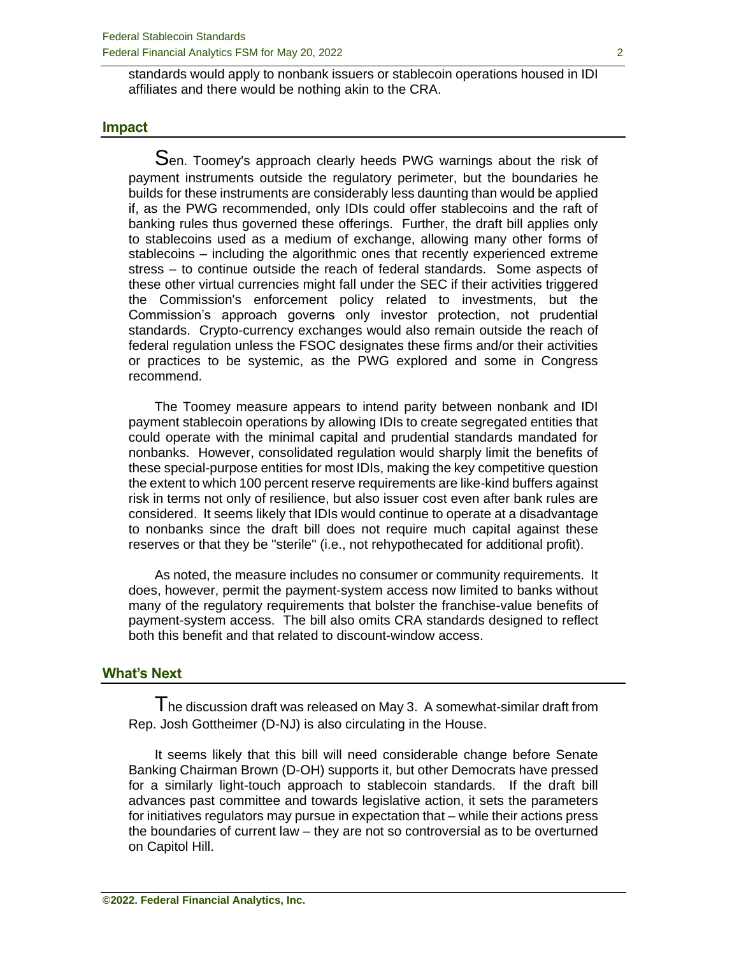standards would apply to nonbank issuers or stablecoin operations housed in IDI affiliates and there would be nothing akin to the CRA.

#### **Impact**

Sen. Toomey's approach clearly heeds PWG warnings about the risk of payment instruments outside the regulatory perimeter, but the boundaries he builds for these instruments are considerably less daunting than would be applied if, as the PWG recommended, only IDIs could offer stablecoins and the raft of banking rules thus governed these offerings. Further, the draft bill applies only to stablecoins used as a medium of exchange, allowing many other forms of stablecoins – including the algorithmic ones that recently experienced extreme stress – to continue outside the reach of federal standards. Some aspects of these other virtual currencies might fall under the SEC if their activities triggered the Commission's enforcement policy related to investments, but the Commission's approach governs only investor protection, not prudential standards. Crypto-currency exchanges would also remain outside the reach of federal regulation unless the FSOC designates these firms and/or their activities or practices to be systemic, as the PWG explored and some in Congress recommend.

The Toomey measure appears to intend parity between nonbank and IDI payment stablecoin operations by allowing IDIs to create segregated entities that could operate with the minimal capital and prudential standards mandated for nonbanks. However, consolidated regulation would sharply limit the benefits of these special-purpose entities for most IDIs, making the key competitive question the extent to which 100 percent reserve requirements are like-kind buffers against risk in terms not only of resilience, but also issuer cost even after bank rules are considered. It seems likely that IDIs would continue to operate at a disadvantage to nonbanks since the draft bill does not require much capital against these reserves or that they be "sterile" (i.e., not rehypothecated for additional profit).

As noted, the measure includes no consumer or community requirements. It does, however, permit the payment-system access now limited to banks without many of the regulatory requirements that bolster the franchise-value benefits of payment-system access. The bill also omits CRA standards designed to reflect both this benefit and that related to discount-window access.

#### **What's Next**

The discussion draft was released on May 3. A somewhat-similar draft from Rep. Josh Gottheimer (D-NJ) is also circulating in the House.

It seems likely that this bill will need considerable change before Senate Banking Chairman Brown (D-OH) supports it, but other Democrats have pressed for a similarly light-touch approach to stablecoin standards. If the draft bill advances past committee and towards legislative action, it sets the parameters for initiatives regulators may pursue in expectation that – while their actions press the boundaries of current law – they are not so controversial as to be overturned on Capitol Hill.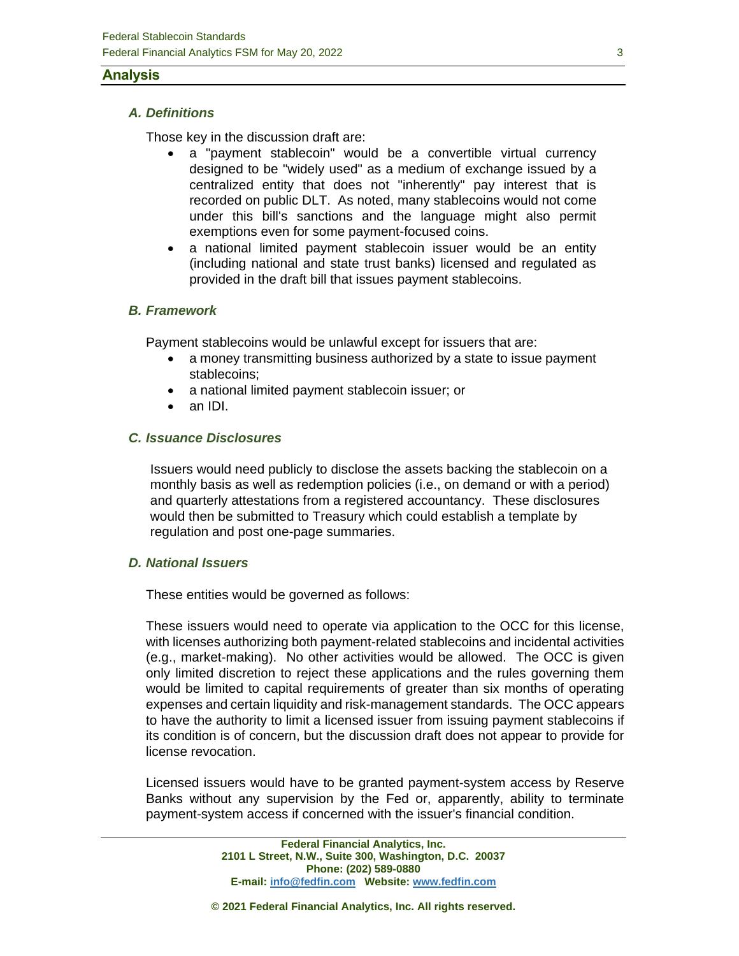#### **Analysis**

#### *A. Definitions*

Those key in the discussion draft are:

- a "payment stablecoin" would be a convertible virtual currency designed to be "widely used" as a medium of exchange issued by a centralized entity that does not "inherently" pay interest that is recorded on public DLT. As noted, many stablecoins would not come under this bill's sanctions and the language might also permit exemptions even for some payment-focused coins.
- a national limited payment stablecoin issuer would be an entity (including national and state trust banks) licensed and regulated as provided in the draft bill that issues payment stablecoins.

## *B. Framework*

Payment stablecoins would be unlawful except for issuers that are:

- a money transmitting business authorized by a state to issue payment stablecoins;
- a national limited payment stablecoin issuer; or
- an IDI.

#### *C. Issuance Disclosures*

Issuers would need publicly to disclose the assets backing the stablecoin on a monthly basis as well as redemption policies (i.e., on demand or with a period) and quarterly attestations from a registered accountancy. These disclosures would then be submitted to Treasury which could establish a template by regulation and post one-page summaries.

#### *D. National Issuers*

These entities would be governed as follows:

These issuers would need to operate via application to the OCC for this license, with licenses authorizing both payment-related stablecoins and incidental activities (e.g., market-making). No other activities would be allowed. The OCC is given only limited discretion to reject these applications and the rules governing them would be limited to capital requirements of greater than six months of operating expenses and certain liquidity and risk-management standards. The OCC appears to have the authority to limit a licensed issuer from issuing payment stablecoins if its condition is of concern, but the discussion draft does not appear to provide for license revocation.

Licensed issuers would have to be granted payment-system access by Reserve Banks without any supervision by the Fed or, apparently, ability to terminate payment-system access if concerned with the issuer's financial condition.